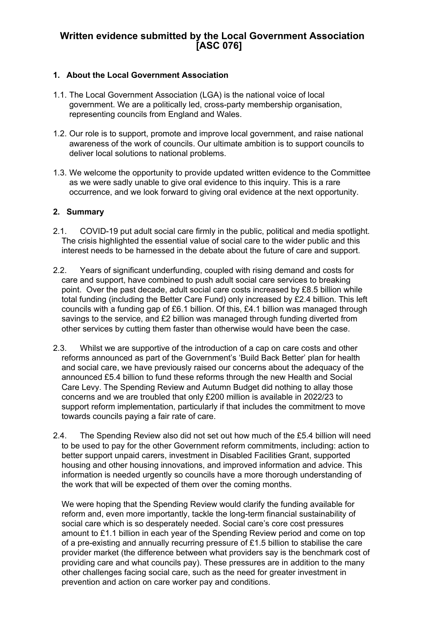# **Written evidence submitted by the Local Government Association [ASC 076]**

# **1. About the Local Government Association**

- 1.1. The Local Government Association (LGA) is the national voice of local government. We are a politically led, cross-party membership organisation, representing councils from England and Wales.
- 1.2. Our role is to support, promote and improve local government, and raise national awareness of the work of councils. Our ultimate ambition is to support councils to deliver local solutions to national problems.
- 1.3. We welcome the opportunity to provide updated written evidence to the Committee as we were sadly unable to give oral evidence to this inquiry. This is a rare occurrence, and we look forward to giving oral evidence at the next opportunity.

# **2. Summary**

- 2.1. COVID-19 put adult social care firmly in the public, political and media spotlight. The crisis highlighted the essential value of social care to the wider public and this interest needs to be harnessed in the debate about the future of care and support.
- 2.2. Years of significant underfunding, coupled with rising demand and costs for care and support, have combined to push adult social care services to breaking point. Over the past decade, adult social care costs increased by £8.5 billion while total funding (including the Better Care Fund) only increased by £2.4 billion. This left councils with a funding gap of £6.1 billion. Of this, £4.1 billion was managed through savings to the service, and £2 billion was managed through funding diverted from other services by cutting them faster than otherwise would have been the case.
- 2.3. Whilst we are supportive of the introduction of a cap on care costs and other reforms announced as part of the Government's 'Build Back Better' plan for health and social care, we have previously raised our concerns about the adequacy of the announced £5.4 billion to fund these reforms through the new Health and Social Care Levy. The Spending Review and Autumn Budget did nothing to allay those concerns and we are troubled that only £200 million is available in 2022/23 to support reform implementation, particularly if that includes the commitment to move towards councils paying a fair rate of care.
- 2.4. The Spending Review also did not set out how much of the £5.4 billion will need to be used to pay for the other Government reform commitments, including: action to better support unpaid carers, investment in Disabled Facilities Grant, supported housing and other housing innovations, and improved information and advice. This information is needed urgently so councils have a more thorough understanding of the work that will be expected of them over the coming months.

We were hoping that the Spending Review would clarify the funding available for reform and, even more importantly, tackle the long-term financial sustainability of social care which is so desperately needed. Social care's core cost pressures amount to £1.1 billion in each year of the Spending Review period and come on top of a pre-existing and annually recurring pressure of £1.5 billion to stabilise the care provider market (the difference between what providers say is the benchmark cost of providing care and what councils pay). These pressures are in addition to the many other challenges facing social care, such as the need for greater investment in prevention and action on care worker pay and conditions.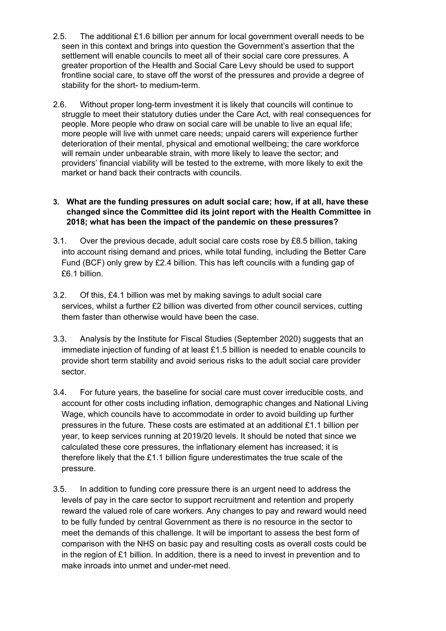- 2.5. The additional £1.6 billion per annum for local government overall needs to be seen in this context and brings into question the Government's assertion that the settlement will enable councils to meet all of their social care core pressures. A greater proportion of the Health and Social Care Levy should be used to support frontline social care, to stave off the worst of the pressures and provide a degree of stability for the short- to medium-term.
- 2.6. Without proper long-term investment it is likely that councils will continue to struggle to meet their statutory duties under the Care Act, with real consequences for people. More people who draw on social care will be unable to live an equal life; more people will live with unmet care needs; unpaid carers will experience further deterioration of their mental, physical and emotional wellbeing; the care workforce will remain under unbearable strain, with more likely to leave the sector; and providers' financial viability will be tested to the extreme, with more likely to exit the market or hand back their contracts with councils.

# **3. What are the funding pressures on adult social care; how, if at all, have these changed since the Committee did its joint report with the Health Committee in 2018; what has been the impact of the pandemic on these pressures?**

- 3.1. Over the previous decade, adult social care costs rose by £8.5 billion, taking into account rising demand and prices, while total funding, including the Better Care Fund (BCF) only grew by £2.4 billion. This has left councils with a funding gap of £6.1 billion.
- 3.2. Of this, £4.1 billion was met by making savings to adult social care services, whilst a further £2 billion was diverted from other council services, cutting them faster than otherwise would have been the case.
- 3.3. Analysis by the Institute for Fiscal Studies (September 2020) suggests that an immediate injection of funding of at least £1.5 billion is needed to enable councils to provide short term stability and avoid serious risks to the adult social care provider sector.
- 3.4. For future years, the baseline for social care must cover irreducible costs, and account for other costs including inflation, demographic changes and National Living Wage, which councils have to accommodate in order to avoid building up further pressures in the future. These costs are estimated at an additional £1.1 billion per year, to keep services running at 2019/20 levels. It should be noted that since we calculated these core pressures, the inflationary element has increased; it is therefore likely that the £1.1 billion figure underestimates the true scale of the pressure.
- 3.5. In addition to funding core pressure there is an urgent need to address the levels of pay in the care sector to support recruitment and retention and properly reward the valued role of care workers. Any changes to pay and reward would need to be fully funded by central Government as there is no resource in the sector to meet the demands of this challenge. It will be important to assess the best form of comparison with the NHS on basic pay and resulting costs as overall costs could be in the region of £1 billion. In addition, there is a need to invest in prevention and to make inroads into unmet and under-met need.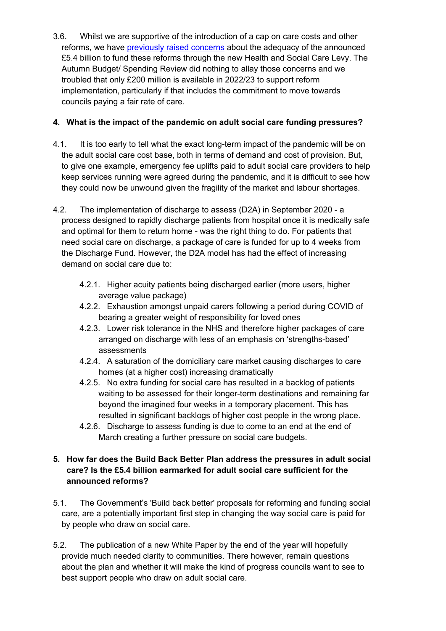3.6. Whilst we are supportive of the introduction of a cap on care costs and other reforms, we have [previously](https://www.local.gov.uk/parliament/briefings-and-responses/lga-response-build-back-better-our-plan-health-and-social-care) [raised](https://www.local.gov.uk/parliament/briefings-and-responses/lga-response-build-back-better-our-plan-health-and-social-care) [concerns](https://www.local.gov.uk/parliament/briefings-and-responses/lga-response-build-back-better-our-plan-health-and-social-care) about the adequacy of the announced £5.4 billion to fund these reforms through the new Health and Social Care Levy. The Autumn Budget/ Spending Review did nothing to allay those concerns and we troubled that only £200 million is available in 2022/23 to support reform implementation, particularly if that includes the commitment to move towards councils paying a fair rate of care.

# **4. What is the impact of the pandemic on adult social care funding pressures?**

- 4.1. It is too early to tell what the exact long-term impact of the pandemic will be on the adult social care cost base, both in terms of demand and cost of provision. But, to give one example, emergency fee uplifts paid to adult social care providers to help keep services running were agreed during the pandemic, and it is difficult to see how they could now be unwound given the fragility of the market and labour shortages.
- 4.2. The implementation of discharge to assess (D2A) in September 2020 a process designed to rapidly discharge patients from hospital once it is medically safe and optimal for them to return home - was the right thing to do. For patients that need social care on discharge, a package of care is funded for up to 4 weeks from the Discharge Fund. However, the D2A model has had the effect of increasing demand on social care due to:
	- 4.2.1. Higher acuity patients being discharged earlier (more users, higher average value package)
	- 4.2.2. Exhaustion amongst unpaid carers following a period during COVID of bearing a greater weight of responsibility for loved ones
	- 4.2.3. Lower risk tolerance in the NHS and therefore higher packages of care arranged on discharge with less of an emphasis on 'strengths-based' assessments
	- 4.2.4. A saturation of the domiciliary care market causing discharges to care homes (at a higher cost) increasing dramatically
	- 4.2.5. No extra funding for social care has resulted in a backlog of patients waiting to be assessed for their longer-term destinations and remaining far beyond the imagined four weeks in a temporary placement. This has resulted in significant backlogs of higher cost people in the wrong place.
	- 4.2.6. Discharge to assess funding is due to come to an end at the end of March creating a further pressure on social care budgets.

# **5. How far does the Build Back Better Plan address the pressures in adult social care? Is the £5.4 billion earmarked for adult social care sufficient for the announced reforms?**

- 5.1. The Government's 'Build back better' proposals for reforming and funding social care, are a potentially important first step in changing the way social care is paid for by people who draw on social care.
- 5.2. The publication of a new White Paper by the end of the year will hopefully provide much needed clarity to communities. There however, remain questions about the plan and whether it will make the kind of progress councils want to see to best support people who draw on adult social care.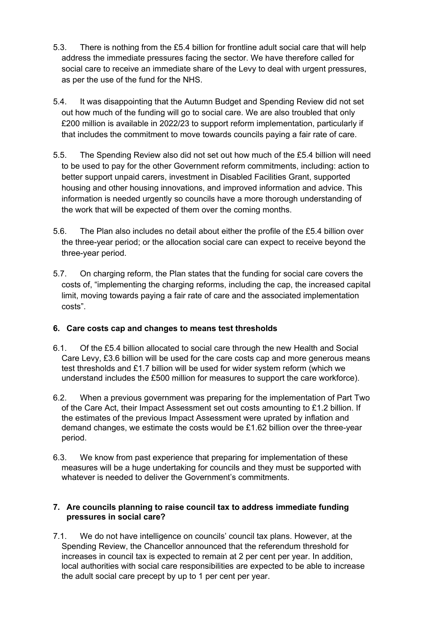- 5.3. There is nothing from the £5.4 billion for frontline adult social care that will help address the immediate pressures facing the sector. We have therefore called for social care to receive an immediate share of the Levy to deal with urgent pressures, as per the use of the fund for the NHS.
- 5.4. It was disappointing that the Autumn Budget and Spending Review did not set out how much of the funding will go to social care. We are also troubled that only £200 million is available in 2022/23 to support reform implementation, particularly if that includes the commitment to move towards councils paying a fair rate of care.
- 5.5. The Spending Review also did not set out how much of the £5.4 billion will need to be used to pay for the other Government reform commitments, including: action to better support unpaid carers, investment in Disabled Facilities Grant, supported housing and other housing innovations, and improved information and advice. This information is needed urgently so councils have a more thorough understanding of the work that will be expected of them over the coming months.
- 5.6. The Plan also includes no detail about either the profile of the £5.4 billion over the three-year period; or the allocation social care can expect to receive beyond the three-year period.
- 5.7. On charging reform, the Plan states that the funding for social care covers the costs of, "implementing the charging reforms, including the cap, the increased capital limit, moving towards paying a fair rate of care and the associated implementation costs".

# **6. Care costs cap and changes to means test thresholds**

- 6.1. Of the £5.4 billion allocated to social care through the new Health and Social Care Levy, £3.6 billion will be used for the care costs cap and more generous means test thresholds and £1.7 billion will be used for wider system reform (which we understand includes the £500 million for measures to support the care workforce).
- 6.2. When a previous government was preparing for the implementation of Part Two of the Care Act, their Impact Assessment set out costs amounting to £1.2 billion. If the estimates of the previous Impact Assessment were uprated by inflation and demand changes, we estimate the costs would be £1.62 billion over the three-year period.
- 6.3. We know from past experience that preparing for implementation of these measures will be a huge undertaking for councils and they must be supported with whatever is needed to deliver the Government's commitments.

# **7. Are councils planning to raise council tax to address immediate funding pressures in social care?**

7.1. We do not have intelligence on councils' council tax plans. However, at the Spending Review, the Chancellor announced that the referendum threshold for increases in council tax is expected to remain at 2 per cent per year. In addition, local authorities with social care responsibilities are expected to be able to increase the adult social care precept by up to 1 per cent per year.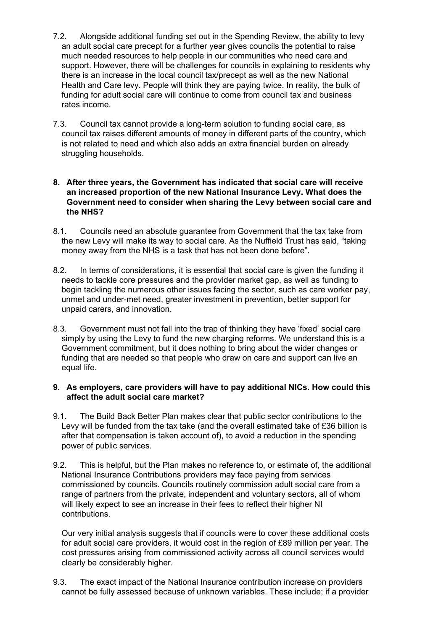- 7.2. Alongside additional funding set out in the Spending Review, the ability to levy an adult social care precept for a further year gives councils the potential to raise much needed resources to help people in our communities who need care and support. However, there will be challenges for councils in explaining to residents why there is an increase in the local council tax/precept as well as the new National Health and Care levy. People will think they are paying twice. In reality, the bulk of funding for adult social care will continue to come from council tax and business rates income.
- 7.3. Council tax cannot provide a long-term solution to funding social care, as council tax raises different amounts of money in different parts of the country, which is not related to need and which also adds an extra financial burden on already struggling households.

#### **8. After three years, the Government has indicated that social care will receive an increased proportion of the new National Insurance Levy. What does the Government need to consider when sharing the Levy between social care and the NHS?**

- 8.1. Councils need an absolute guarantee from Government that the tax take from the new Levy will make its way to social care. As the Nuffield Trust has said, "taking money away from the NHS is a task that has not been done before".
- 8.2. In terms of considerations, it is essential that social care is given the funding it needs to tackle core pressures and the provider market gap, as well as funding to begin tackling the numerous other issues facing the sector, such as care worker pay, unmet and under-met need, greater investment in prevention, better support for unpaid carers, and innovation.
- 8.3. Government must not fall into the trap of thinking they have 'fixed' social care simply by using the Levy to fund the new charging reforms. We understand this is a Government commitment, but it does nothing to bring about the wider changes or funding that are needed so that people who draw on care and support can live an equal life.

# **9. As employers, care providers will have to pay additional NICs. How could this affect the adult social care market?**

- 9.1. The Build Back Better Plan makes clear that public sector contributions to the Levy will be funded from the tax take (and the overall estimated take of £36 billion is after that compensation is taken account of), to avoid a reduction in the spending power of public services.
- 9.2. This is helpful, but the Plan makes no reference to, or estimate of, the additional National Insurance Contributions providers may face paying from services commissioned by councils. Councils routinely commission adult social care from a range of partners from the private, independent and voluntary sectors, all of whom will likely expect to see an increase in their fees to reflect their higher NI contributions.

Our very initial analysis suggests that if councils were to cover these additional costs for adult social care providers, it would cost in the region of £89 million per year. The cost pressures arising from commissioned activity across all council services would clearly be considerably higher.

9.3. The exact impact of the National Insurance contribution increase on providers cannot be fully assessed because of unknown variables. These include; if a provider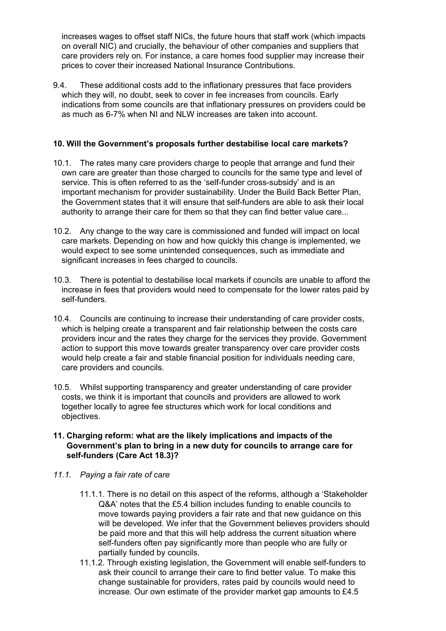increases wages to offset staff NICs, the future hours that staff work (which impacts on overall NIC) and crucially, the behaviour of other companies and suppliers that care providers rely on. For instance, a care homes food supplier may increase their prices to cover their increased National Insurance Contributions.

9.4. These additional costs add to the inflationary pressures that face providers which they will, no doubt, seek to cover in fee increases from councils. Early indications from some councils are that inflationary pressures on providers could be as much as 6-7% when NI and NLW increases are taken into account.

#### **10. Will the Government's proposals further destabilise local care markets?**

- 10.1. The rates many care providers charge to people that arrange and fund their own care are greater than those charged to councils for the same type and level of service. This is often referred to as the 'self-funder cross-subsidy' and is an important mechanism for provider sustainability. Under the Build Back Better Plan, the Government states that it will ensure that self-funders are able to ask their local authority to arrange their care for them so that they can find better value care...
- 10.2. Any change to the way care is commissioned and funded will impact on local care markets. Depending on how and how quickly this change is implemented, we would expect to see some unintended consequences, such as immediate and significant increases in fees charged to councils.
- 10.3. There is potential to destabilise local markets if councils are unable to afford the increase in fees that providers would need to compensate for the lower rates paid by self-funders.
- 10.4. Councils are continuing to increase their understanding of care provider costs, which is helping create a transparent and fair relationship between the costs care providers incur and the rates they charge for the services they provide. Government action to support this move towards greater transparency over care provider costs would help create a fair and stable financial position for individuals needing care, care providers and councils.
- 10.5. Whilst supporting transparency and greater understanding of care provider costs, we think it is important that councils and providers are allowed to work together locally to agree fee structures which work for local conditions and objectives.

#### **11. Charging reform: what are the likely implications and impacts of the Government's plan to bring in a new duty for councils to arrange care for self-funders (Care Act 18.3)?**

- *11.1. Paying a fair rate of care*
	- 11.1.1. There is no detail on this aspect of the reforms, although a 'Stakeholder Q&A' notes that the £5.4 billion includes funding to enable councils to move towards paying providers a fair rate and that new guidance on this will be developed. We infer that the Government believes providers should be paid more and that this will help address the current situation where self-funders often pay significantly more than people who are fully or partially funded by councils.
	- 11.1.2. Through existing legislation, the Government will enable self-funders to ask their council to arrange their care to find better value. To make this change sustainable for providers, rates paid by councils would need to increase. Our own estimate of the provider market gap amounts to £4.5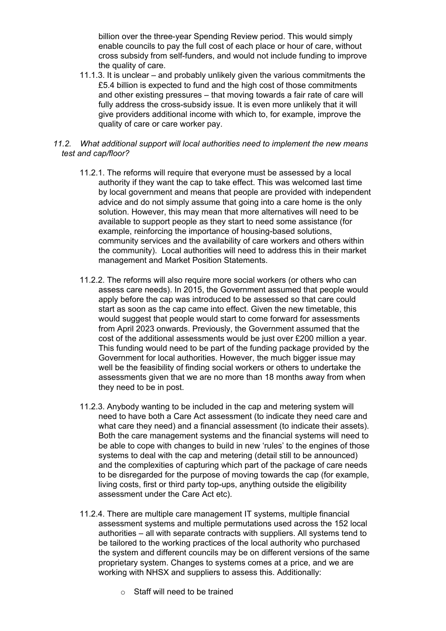billion over the three-year Spending Review period. This would simply enable councils to pay the full cost of each place or hour of care, without cross subsidy from self-funders, and would not include funding to improve the quality of care.

11.1.3. It is unclear – and probably unlikely given the various commitments the £5.4 billion is expected to fund and the high cost of those commitments and other existing pressures – that moving towards a fair rate of care will fully address the cross-subsidy issue. It is even more unlikely that it will give providers additional income with which to, for example, improve the quality of care or care worker pay.

#### *11.2. What additional support will local authorities need to implement the new means test and cap/floor?*

- 11.2.1. The reforms will require that everyone must be assessed by a local authority if they want the cap to take effect. This was welcomed last time by local government and means that people are provided with independent advice and do not simply assume that going into a care home is the only solution. However, this may mean that more alternatives will need to be available to support people as they start to need some assistance (for example, reinforcing the importance of housing-based solutions, community services and the availability of care workers and others within the community). Local authorities will need to address this in their market management and Market Position Statements.
- 11.2.2. The reforms will also require more social workers (or others who can assess care needs). In 2015, the Government assumed that people would apply before the cap was introduced to be assessed so that care could start as soon as the cap came into effect. Given the new timetable, this would suggest that people would start to come forward for assessments from April 2023 onwards. Previously, the Government assumed that the cost of the additional assessments would be just over £200 million a year. This funding would need to be part of the funding package provided by the Government for local authorities. However, the much bigger issue may well be the feasibility of finding social workers or others to undertake the assessments given that we are no more than 18 months away from when they need to be in post.
- 11.2.3. Anybody wanting to be included in the cap and metering system will need to have both a Care Act assessment (to indicate they need care and what care they need) and a financial assessment (to indicate their assets). Both the care management systems and the financial systems will need to be able to cope with changes to build in new 'rules' to the engines of those systems to deal with the cap and metering (detail still to be announced) and the complexities of capturing which part of the package of care needs to be disregarded for the purpose of moving towards the cap (for example, living costs, first or third party top-ups, anything outside the eligibility assessment under the Care Act etc).
- 11.2.4. There are multiple care management IT systems, multiple financial assessment systems and multiple permutations used across the 152 local authorities – all with separate contracts with suppliers. All systems tend to be tailored to the working practices of the local authority who purchased the system and different councils may be on different versions of the same proprietary system. Changes to systems comes at a price, and we are working with NHSX and suppliers to assess this. Additionally:
	- o Staff will need to be trained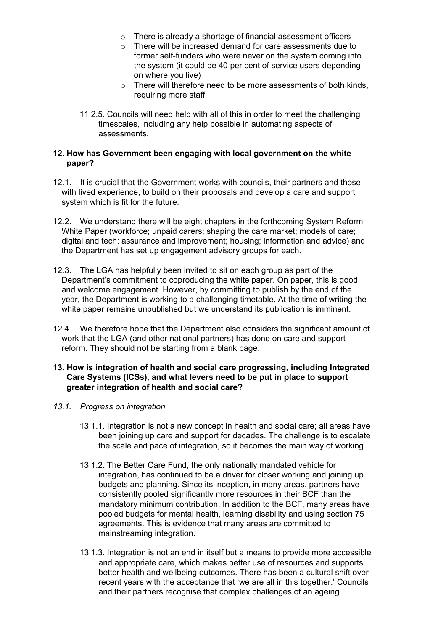- o There is already a shortage of financial assessment officers
- o There will be increased demand for care assessments due to former self-funders who were never on the system coming into the system (it could be 40 per cent of service users depending on where you live)
- $\circ$  There will therefore need to be more assessments of both kinds, requiring more staff
- 11.2.5. Councils will need help with all of this in order to meet the challenging timescales, including any help possible in automating aspects of assessments.

## **12. How has Government been engaging with local government on the white paper?**

- 12.1. It is crucial that the Government works with councils, their partners and those with lived experience, to build on their proposals and develop a care and support system which is fit for the future.
- 12.2. We understand there will be eight chapters in the forthcoming System Reform White Paper (workforce; unpaid carers; shaping the care market; models of care; digital and tech; assurance and improvement; housing; information and advice) and the Department has set up engagement advisory groups for each.
- 12.3. The LGA has helpfully been invited to sit on each group as part of the Department's commitment to coproducing the white paper. On paper, this is good and welcome engagement. However, by committing to publish by the end of the year, the Department is working to a challenging timetable. At the time of writing the white paper remains unpublished but we understand its publication is imminent.
- 12.4. We therefore hope that the Department also considers the significant amount of work that the LGA (and other national partners) has done on care and support reform. They should not be starting from a blank page.

# **13. How is integration of health and social care progressing, including Integrated Care Systems (ICSs), and what levers need to be put in place to support greater integration of health and social care?**

- *13.1. Progress on integration*
	- 13.1.1. Integration is not a new concept in health and social care; all areas have been joining up care and support for decades. The challenge is to escalate the scale and pace of integration, so it becomes the main way of working.
	- 13.1.2. The Better Care Fund, the only nationally mandated vehicle for integration, has continued to be a driver for closer working and joining up budgets and planning. Since its inception, in many areas, partners have consistently pooled significantly more resources in their BCF than the mandatory minimum contribution. In addition to the BCF, many areas have pooled budgets for mental health, learning disability and using section 75 agreements. This is evidence that many areas are committed to mainstreaming integration.
	- 13.1.3. Integration is not an end in itself but a means to provide more accessible and appropriate care, which makes better use of resources and supports better health and wellbeing outcomes. There has been a cultural shift over recent years with the acceptance that 'we are all in this together.' Councils and their partners recognise that complex challenges of an ageing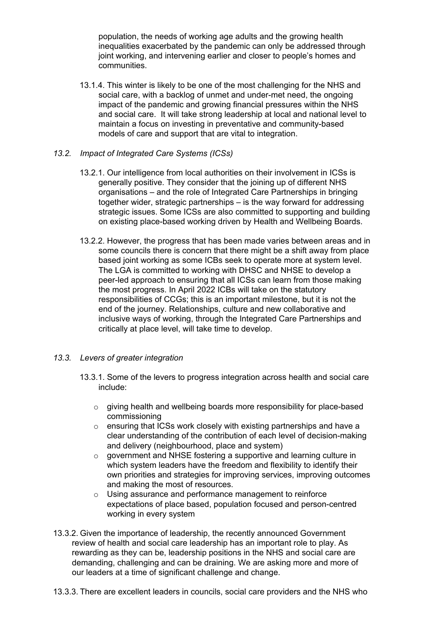population, the needs of working age adults and the growing health inequalities exacerbated by the pandemic can only be addressed through joint working, and intervening earlier and closer to people's homes and communities.

13.1.4. This winter is likely to be one of the most challenging for the NHS and social care, with a backlog of unmet and under-met need, the ongoing impact of the pandemic and growing financial pressures within the NHS and social care. It will take strong leadership at local and national level to maintain a focus on investing in preventative and community-based models of care and support that are vital to integration.

# *13.2. Impact of Integrated Care Systems (ICSs)*

- 13.2.1. Our intelligence from local authorities on their involvement in ICSs is generally positive. They consider that the joining up of different NHS organisations – and the role of Integrated Care Partnerships in bringing together wider, strategic partnerships – is the way forward for addressing strategic issues. Some ICSs are also committed to supporting and building on existing place-based working driven by Health and Wellbeing Boards.
- 13.2.2. However, the progress that has been made varies between areas and in some councils there is concern that there might be a shift away from place based joint working as some ICBs seek to operate more at system level. The LGA is committed to working with DHSC and NHSE to develop a peer-led approach to ensuring that all ICSs can learn from those making the most progress. In April 2022 ICBs will take on the statutory responsibilities of CCGs; this is an important milestone, but it is not the end of the journey. Relationships, culture and new collaborative and inclusive ways of working, through the Integrated Care Partnerships and critically at place level, will take time to develop.

# *13.3. Levers of greater integration*

- 13.3.1. Some of the levers to progress integration across health and social care include:
	- o giving health and wellbeing boards more responsibility for place-based commissioning
	- o ensuring that ICSs work closely with existing partnerships and have a clear understanding of the contribution of each level of decision-making and delivery (neighbourhood, place and system)
	- o government and NHSE fostering a supportive and learning culture in which system leaders have the freedom and flexibility to identify their own priorities and strategies for improving services, improving outcomes and making the most of resources.
	- o Using assurance and performance management to reinforce expectations of place based, population focused and person-centred working in every system
- 13.3.2. Given the importance of leadership, the recently announced Government review of health and social care leadership has an important role to play. As rewarding as they can be, leadership positions in the NHS and social care are demanding, challenging and can be draining. We are asking more and more of our leaders at a time of significant challenge and change.
- 13.3.3. There are excellent leaders in councils, social care providers and the NHS who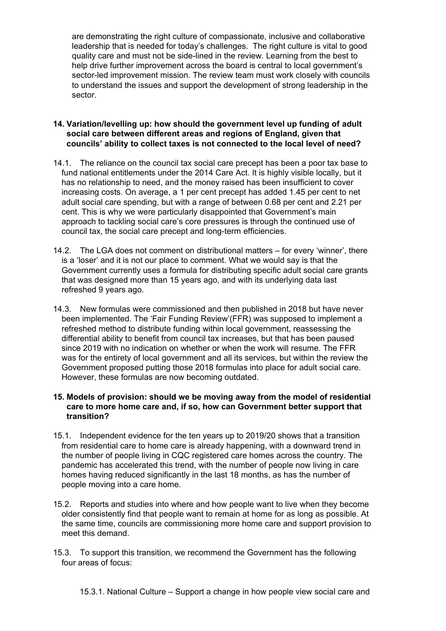are demonstrating the right culture of compassionate, inclusive and collaborative leadership that is needed for today's challenges. The right culture is vital to good quality care and must not be side-lined in the review. Learning from the best to help drive further improvement across the board is central to local government's sector-led improvement mission. The review team must work closely with councils to understand the issues and support the development of strong leadership in the sector.

# **14. Variation/levelling up: how should the government level up funding of adult social care between different areas and regions of England, given that councils' ability to collect taxes is not connected to the local level of need?**

- 14.1. The reliance on the council tax social care precept has been a poor tax base to fund national entitlements under the 2014 Care Act. It is highly visible locally, but it has no relationship to need, and the money raised has been insufficient to cover increasing costs. On average, a 1 per cent precept has added 1.45 per cent to net adult social care spending, but with a range of between 0.68 per cent and 2.21 per cent. This is why we were particularly disappointed that Government's main approach to tackling social care's core pressures is through the continued use of council tax, the social care precept and long-term efficiencies.
- 14.2. The LGA does not comment on distributional matters for every 'winner', there is a 'loser' and it is not our place to comment. What we would say is that the Government currently uses a formula for distributing specific adult social care grants that was designed more than 15 years ago, and with its underlying data last refreshed 9 years ago.
- 14.3. New formulas were commissioned and then published in 2018 but have never been implemented. The 'Fair Funding Review'(FFR) was supposed to implement a refreshed method to distribute funding within local government, reassessing the differential ability to benefit from council tax increases, but that has been paused since 2019 with no indication on whether or when the work will resume. The FFR was for the entirety of local government and all its services, but within the review the Government proposed putting those 2018 formulas into place for adult social care. However, these formulas are now becoming outdated.

# **15. Models of provision: should we be moving away from the model of residential care to more home care and, if so, how can Government better support that transition?**

- 15.1. Independent evidence for the ten years up to 2019/20 shows that a transition from residential care to home care is already happening, with a downward trend in the number of people living in CQC registered care homes across the country. The pandemic has accelerated this trend, with the number of people now living in care homes having reduced significantly in the last 18 months, as has the number of people moving into a care home.
- 15.2. Reports and studies into where and how people want to live when they become older consistently find that people want to remain at home for as long as possible. At the same time, councils are commissioning more home care and support provision to meet this demand.
- 15.3. To support this transition, we recommend the Government has the following four areas of focus: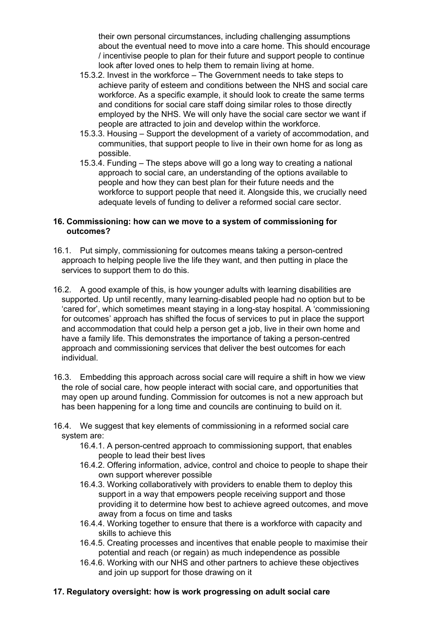their own personal circumstances, including challenging assumptions about the eventual need to move into a care home. This should encourage / incentivise people to plan for their future and support people to continue look after loved ones to help them to remain living at home.

- 15.3.2. Invest in the workforce The Government needs to take steps to achieve parity of esteem and conditions between the NHS and social care workforce. As a specific example, it should look to create the same terms and conditions for social care staff doing similar roles to those directly employed by the NHS. We will only have the social care sector we want if people are attracted to join and develop within the workforce.
- 15.3.3. Housing Support the development of a variety of accommodation, and communities, that support people to live in their own home for as long as possible.
- 15.3.4. Funding The steps above will go a long way to creating a national approach to social care, an understanding of the options available to people and how they can best plan for their future needs and the workforce to support people that need it. Alongside this, we crucially need adequate levels of funding to deliver a reformed social care sector.

# **16. Commissioning: how can we move to a system of commissioning for outcomes?**

- 16.1. Put simply, commissioning for outcomes means taking a person-centred approach to helping people live the life they want, and then putting in place the services to support them to do this.
- 16.2. A good example of this, is how younger adults with learning disabilities are supported. Up until recently, many learning-disabled people had no option but to be 'cared for', which sometimes meant staying in a long-stay hospital. A 'commissioning for outcomes' approach has shifted the focus of services to put in place the support and accommodation that could help a person get a job, live in their own home and have a family life. This demonstrates the importance of taking a person-centred approach and commissioning services that deliver the best outcomes for each individual.
- 16.3. Embedding this approach across social care will require a shift in how we view the role of social care, how people interact with social care, and opportunities that may open up around funding. Commission for outcomes is not a new approach but has been happening for a long time and councils are continuing to build on it.
- 16.4. We suggest that key elements of commissioning in a reformed social care system are:
	- 16.4.1. A person-centred approach to commissioning support, that enables people to lead their best lives
	- 16.4.2. Offering information, advice, control and choice to people to shape their own support wherever possible
	- 16.4.3. Working collaboratively with providers to enable them to deploy this support in a way that empowers people receiving support and those providing it to determine how best to achieve agreed outcomes, and move away from a focus on time and tasks
	- 16.4.4. Working together to ensure that there is a workforce with capacity and skills to achieve this
	- 16.4.5. Creating processes and incentives that enable people to maximise their potential and reach (or regain) as much independence as possible
	- 16.4.6. Working with our NHS and other partners to achieve these objectives and join up support for those drawing on it

# **17. Regulatory oversight: how is work progressing on adult social care**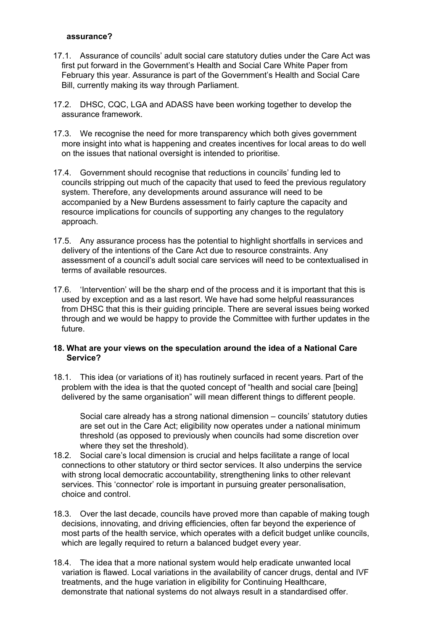### **assurance?**

- 17.1. Assurance of councils' adult social care statutory duties under the Care Act was first put forward in the Government's Health and Social Care White Paper from February this year. Assurance is part of the Government's Health and Social Care Bill, currently making its way through Parliament.
- 17.2. DHSC, CQC, LGA and ADASS have been working together to develop the assurance framework.
- 17.3. We recognise the need for more transparency which both gives government more insight into what is happening and creates incentives for local areas to do well on the issues that national oversight is intended to prioritise.
- 17.4. Government should recognise that reductions in councils' funding led to councils stripping out much of the capacity that used to feed the previous regulatory system. Therefore, any developments around assurance will need to be accompanied by a New Burdens assessment to fairly capture the capacity and resource implications for councils of supporting any changes to the regulatory approach.
- 17.5. Any assurance process has the potential to highlight shortfalls in services and delivery of the intentions of the Care Act due to resource constraints. Any assessment of a council's adult social care services will need to be contextualised in terms of available resources.
- 17.6. 'Intervention' will be the sharp end of the process and it is important that this is used by exception and as a last resort. We have had some helpful reassurances from DHSC that this is their guiding principle. There are several issues being worked through and we would be happy to provide the Committee with further updates in the future.

#### **18. What are your views on the speculation around the idea of a National Care Service?**

18.1. This idea (or variations of it) has routinely surfaced in recent years. Part of the problem with the idea is that the quoted concept of "health and social care [being] delivered by the same organisation" will mean different things to different people.

Social care already has a strong national dimension – councils' statutory duties are set out in the Care Act; eligibility now operates under a national minimum threshold (as opposed to previously when councils had some discretion over where they set the threshold).

- 18.2. Social care's local dimension is crucial and helps facilitate a range of local connections to other statutory or third sector services. It also underpins the service with strong local democratic accountability, strengthening links to other relevant services. This 'connector' role is important in pursuing greater personalisation, choice and control.
- 18.3. Over the last decade, councils have proved more than capable of making tough decisions, innovating, and driving efficiencies, often far beyond the experience of most parts of the health service, which operates with a deficit budget unlike councils, which are legally required to return a balanced budget every year.
- 18.4. The idea that a more national system would help eradicate unwanted local variation is flawed. Local variations in the availability of cancer drugs, dental and IVF treatments, and the huge variation in eligibility for Continuing Healthcare, demonstrate that national systems do not always result in a standardised offer.